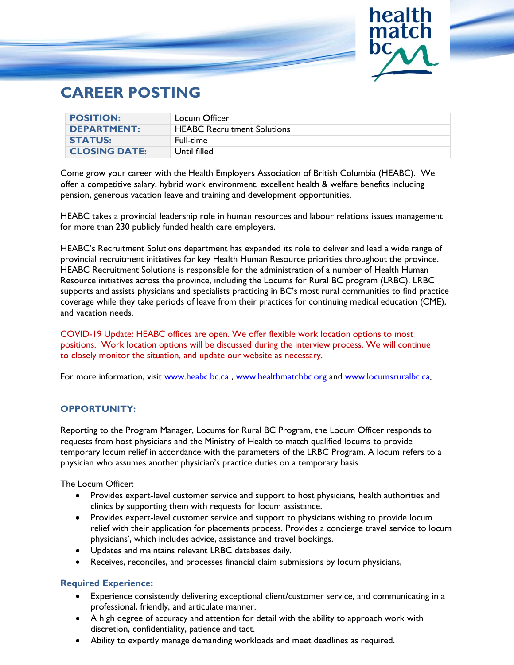

# **CAREER POSTING**

| <b>POSITION:</b>     | Locum Officer                      |
|----------------------|------------------------------------|
| <b>DEPARTMENT:</b>   | <b>HEABC Recruitment Solutions</b> |
| <b>STATUS:</b>       | Full-time                          |
| <b>CLOSING DATE:</b> | Until filled                       |

Come grow your career with the Health Employers Association of British Columbia (HEABC). We offer a competitive salary, hybrid work environment, excellent health & welfare benefits including pension, generous vacation leave and training and development opportunities.

HEABC takes a provincial leadership role in human resources and labour relations issues management for more than 230 publicly funded health care employers.

HEABC's Recruitment Solutions department has expanded its role to deliver and lead a wide range of provincial recruitment initiatives for key Health Human Resource priorities throughout the province. HEABC Recruitment Solutions is responsible for the administration of a number of Health Human Resource initiatives across the province, including the Locums for Rural BC program (LRBC). LRBC supports and assists physicians and specialists practicing in BC's most rural communities to find practice coverage while they take periods of leave from their practices for continuing medical education (CME), and vacation needs.

COVID-19 Update: HEABC offices are open. We offer flexible work location options to most positions. Work location options will be discussed during the interview process. We will continue to closely monitor the situation, and update our website as necessary.

For more information, visit [www.heabc.bc.ca](http://www.heabc.bc.ca/), [www.healthmatchbc.org](http://www.healthmatchbc.org/) and www.locumsruralbc.ca.

## **OPPORTUNITY:**

Reporting to the Program Manager, Locums for Rural BC Program, the Locum Officer responds to requests from host physicians and the Ministry of Health to match qualified locums to provide temporary locum relief in accordance with the parameters of the LRBC Program. A locum refers to a physician who assumes another physician's practice duties on a temporary basis.

The Locum Officer:

- Provides expert-level customer service and support to host physicians, health authorities and clinics by supporting them with requests for locum assistance.
- Provides expert-level customer service and support to physicians wishing to provide locum relief with their application for placements process. Provides a concierge travel service to locum physicians', which includes advice, assistance and travel bookings.
- Updates and maintains relevant LRBC databases daily.
- Receives, reconciles, and processes financial claim submissions by locum physicians,

### **Required Experience:**

- Experience consistently delivering exceptional client/customer service, and communicating in a professional, friendly, and articulate manner.
- A high degree of accuracy and attention for detail with the ability to approach work with discretion, confidentiality, patience and tact.
- Ability to expertly manage demanding workloads and meet deadlines as required.